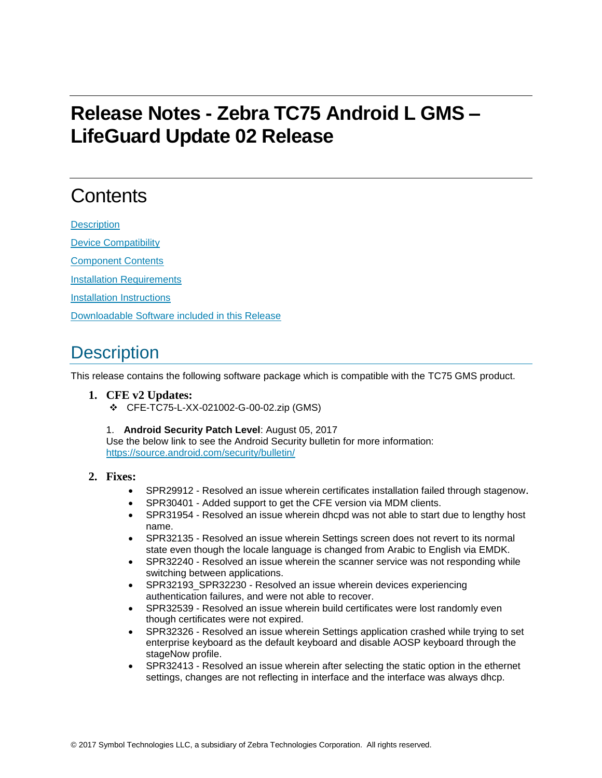# **Release Notes - Zebra TC75 Android L GMS – LifeGuard Update 02 Release**

# **Contents**

**[Description](#page-0-0)** 

[Device Compatibility](#page-1-0)

[Component Contents](#page-1-1)

[Installation Requirements](#page-1-2)

[Installation Instructions](#page-1-3)

[Downloadable Software included in this Release](#page-2-0)

## <span id="page-0-0"></span>**Description**

This release contains the following software package which is compatible with the TC75 GMS product.

- **1. CFE v2 Updates:** ❖ CFE-TC75-L-XX-021002-G-00-02.zip (GMS)
	- 1. **Android Security Patch Level**: August 05, 2017

Use the below link to see the Android Security bulletin for more information: <https://source.android.com/security/bulletin/>

#### **2. Fixes:**

- SPR29912 Resolved an issue wherein certificates installation failed through stagenow.
- SPR30401 Added support to get the CFE version via MDM clients.
- SPR31954 Resolved an issue wherein dhcpd was not able to start due to lengthy host name.
- SPR32135 Resolved an issue wherein Settings screen does not revert to its normal state even though the locale language is changed from Arabic to English via EMDK.
- SPR32240 Resolved an issue wherein the scanner service was not responding while switching between applications.
- SPR32193\_SPR32230 Resolved an issue wherein devices experiencing authentication failures, and were not able to recover.
- SPR32539 Resolved an issue wherein build certificates were lost randomly even though certificates were not expired.
- SPR32326 Resolved an issue wherein Settings application crashed while trying to set enterprise keyboard as the default keyboard and disable AOSP keyboard through the stageNow profile.
- SPR32413 Resolved an issue wherein after selecting the static option in the ethernet settings, changes are not reflecting in interface and the interface was always dhcp.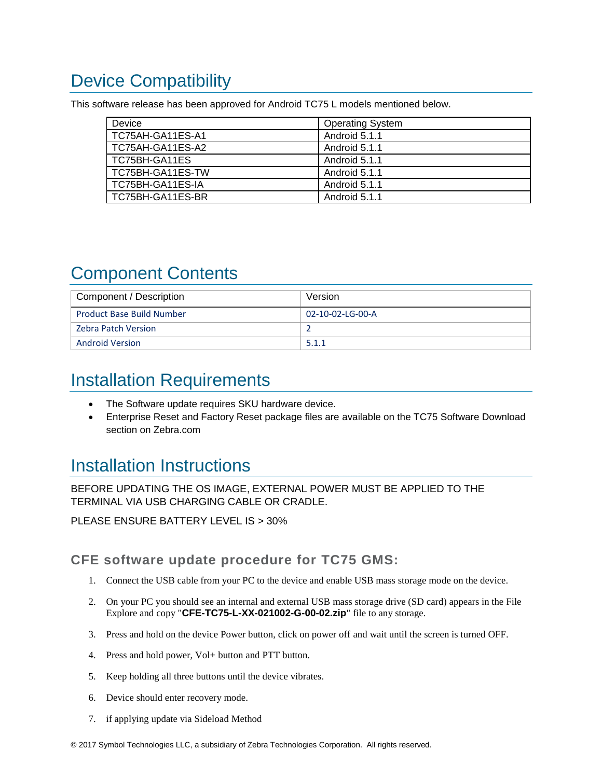# <span id="page-1-0"></span>Device Compatibility

This software release has been approved for Android TC75 L models mentioned below.

| Device           | <b>Operating System</b> |
|------------------|-------------------------|
| TC75AH-GA11ES-A1 | Android 5.1.1           |
| TC75AH-GA11ES-A2 | Android 5.1.1           |
| TC75BH-GA11ES    | Android 5.1.1           |
| TC75BH-GA11ES-TW | Android 5.1.1           |
| TC75BH-GA11ES-IA | Android 5.1.1           |
| TC75BH-GA11ES-BR | Android 5.1.1           |

## <span id="page-1-1"></span>Component Contents

| Component / Description          | Version          |
|----------------------------------|------------------|
| <b>Product Base Build Number</b> | 02-10-02-LG-00-A |
| Zebra Patch Version              |                  |
| <b>Android Version</b>           | 5.1.1            |

## <span id="page-1-2"></span>Installation Requirements

- The Software update requires SKU hardware device.
- Enterprise Reset and Factory Reset package files are available on the TC75 Software Download section on Zebra.com

## <span id="page-1-3"></span>Installation Instructions

BEFORE UPDATING THE OS IMAGE, EXTERNAL POWER MUST BE APPLIED TO THE TERMINAL VIA USB CHARGING CABLE OR CRADLE.

PLEASE ENSURE BATTERY LEVEL IS > 30%

CFE software update procedure for TC75 GMS:

- 1. Connect the USB cable from your PC to the device and enable USB mass storage mode on the device.
- 2. On your PC you should see an internal and external USB mass storage drive (SD card) appears in the File Explore and copy "**CFE-TC75-L-XX-021002-G-00-02.zip**" file to any storage.
- 3. Press and hold on the device Power button, click on power off and wait until the screen is turned OFF.
- 4. Press and hold power, Vol+ button and PTT button.
- 5. Keep holding all three buttons until the device vibrates.
- 6. Device should enter recovery mode.
- 7. if applying update via Sideload Method